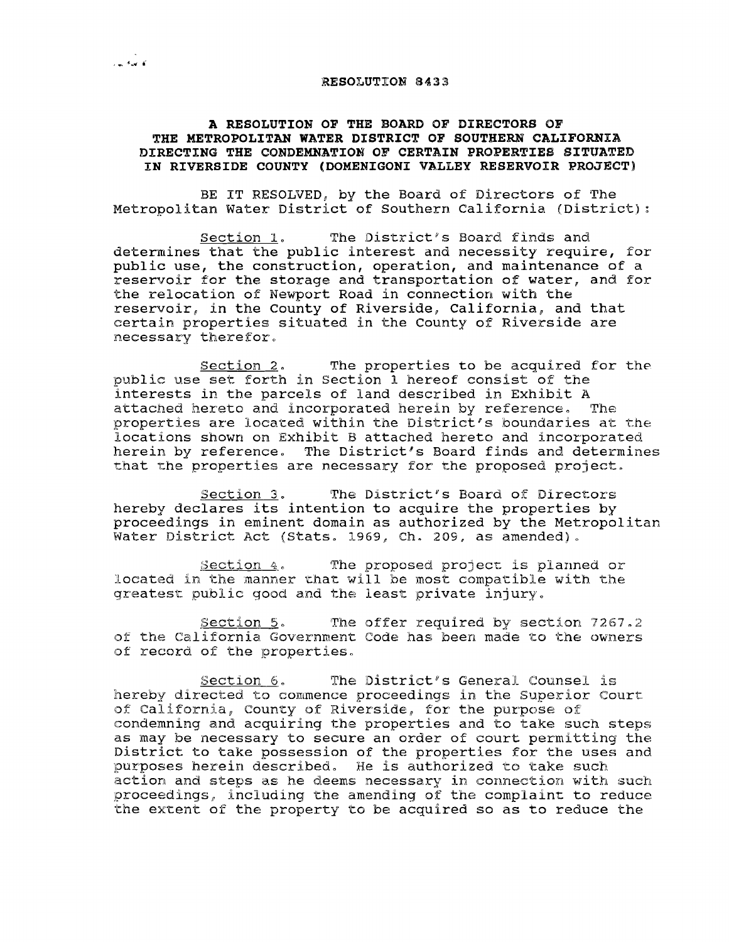## RESOLUTION 8433

## A RESOLUTION OF THE BOARD OF DIRECTORS OF THE METROPOLITAN WATER DISTRICT OF SOUTHERN CALIFORNIA DIRECTING THE CONDEMNATION OF CERTAIN PROPERTIES SITUATED IN RIVERSIDE COUNTY (DOMENIGONI VALLEY RESERVOIR PROJECT)

BE IT RESOLVED, by the Board of Directors of The Metropolitan Water District of Southern California (District):

Section 1. The District's Board finds and determines that the public interest and necessity require, for public use, the construction, operation, and maintenance of a reservoir for the storage and transportation of water, and for the relocation of Newport Road in connection with the reservoir, in the County of Riverside, California, and that certain properties situated in the County of Riverside are necessary therefor.

Section 2. The properties to be acquired for the public use set forth in section <sup>1</sup> hereof consist of the interests in the parcels of land described in Exhibit <sup>A</sup> attached hereto and incorporated herein by reference. The properties are located within the District's boundaries at the locations shown on Exhibit B attached hereto and incorporated herein by reference. The District's Board finds and determines that the properties are necessary for the proposed project.

Section 3. The District's Board of Directors hereby declares its intention to acquire the properties by proceedings in eminent domain as authorized by the Metropolitan Water District Act (Stats. 1969, Ch. 209, as amended).

Section 4. The proposed project is planned or located in the manner that will be most compatible with the greatest public good and the least private injury.

Section 5. The offer required by section 7267.2 of the California Government Code has been made to the owners of record of the properties.

 $Section 6.$  The District's General Counsel is hereby directed to commence proceedings in the Superior Court of California, County of Riverside, for the purpose of condemning and acquiring the properties and to take such steps as may be necessary to secure an order of court permitting the District to take possession of the properties for the uses and purposes herein described. He is authorized to take such action and steps as he deems necessary in connection with such proceedings, inclUding the amending of the complaint to reduce the extent of the property to be acquired so as to reduce the